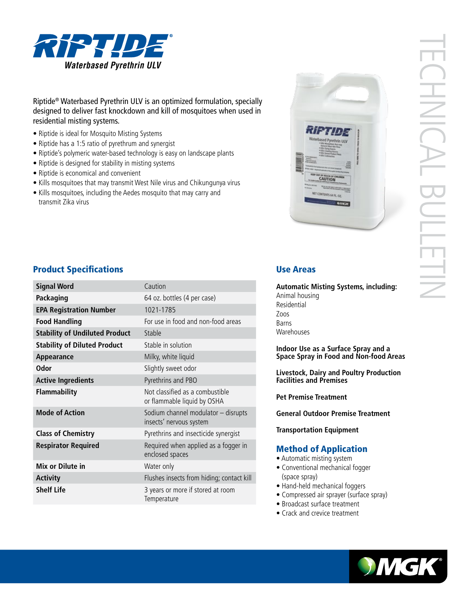

# Riptide® Waterbased Pyrethrin ULV is an optimized formulation, specially designed to deliver fast knockdown and kill of mosquitoes when used in residential misting systems.

- Riptide is ideal for Mosquito Misting Systems
- Riptide has a 1:5 ratio of pyrethrum and synergist
- Riptide's polymeric water-based technology is easy on landscape plants
- Riptide is designed for stability in misting systems
- Riptide is economical and convenient
- Kills mosquitoes that may transmit West Nile virus and Chikungunya virus
- Kills mosquitoes, including the Aedes mosquito that may carry and transmit Zika virus



# **Product Specifications Exercise Areas** Use Areas

| <b>Signal Word</b>                    | Caution                                                        |
|---------------------------------------|----------------------------------------------------------------|
| Packaging                             | 64 oz. bottles (4 per case)                                    |
| <b>EPA Registration Number</b>        | 1021-1785                                                      |
| <b>Food Handling</b>                  | For use in food and non-food areas                             |
| <b>Stability of Undiluted Product</b> | Stable                                                         |
| <b>Stability of Diluted Product</b>   | Stable in solution                                             |
| Appearance                            | Milky, white liquid                                            |
| <b>Odor</b>                           | Slightly sweet odor                                            |
| <b>Active Ingredients</b>             | Pyrethrins and PBO                                             |
| <b>Flammability</b>                   | Not classified as a combustible<br>or flammable liquid by OSHA |
| <b>Mode of Action</b>                 | Sodium channel modulator - disrupts<br>insects' nervous system |
| <b>Class of Chemistry</b>             | Pyrethrins and insecticide synergist                           |
| <b>Respirator Required</b>            | Required when applied as a fogger in<br>enclosed spaces        |
| Mix or Dilute in                      | Water only                                                     |
| <b>Activity</b>                       | Flushes insects from hiding; contact kill                      |
| <b>Shelf Life</b>                     | 3 years or more if stored at room<br>Temperature               |

**Automatic Misting Systems, including:** Animal housing Residential Zoos Barns Warehouses

**Indoor Use as a Surface Spray and a Space Spray in Food and Non-food Areas**

**Livestock, Dairy and Poultry Production Facilities and Premises**

**Pet Premise Treatment**

**General Outdoor Premise Treatment**

**Transportation Equipment**

## Method of Application

- Automatic misting system
- Conventional mechanical fogger (space spray)
- Hand-held mechanical foggers
- Compressed air sprayer (surface spray)
- Broadcast surface treatment
- Crack and crevice treatment